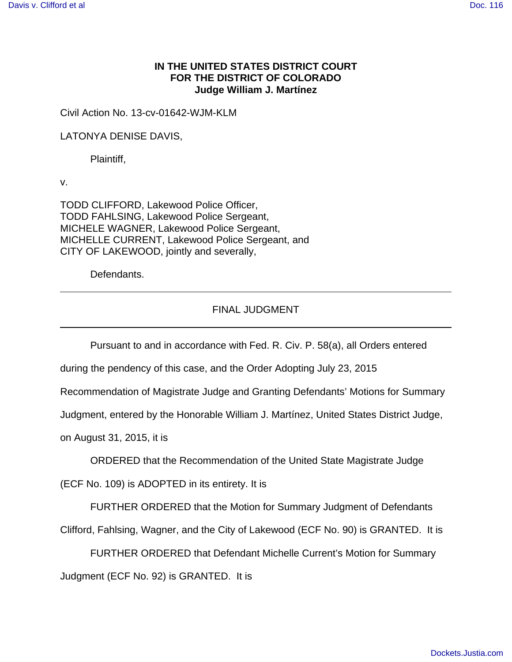## **IN THE UNITED STATES DISTRICT COURT FOR THE DISTRICT OF COLORADO Judge William J. Martínez**

Civil Action No. 13-cv-01642-WJM-KLM

LATONYA DENISE DAVIS,

Plaintiff,

v.

TODD CLIFFORD, Lakewood Police Officer, TODD FAHLSING, Lakewood Police Sergeant, MICHELE WAGNER, Lakewood Police Sergeant, MICHELLE CURRENT, Lakewood Police Sergeant, and CITY OF LAKEWOOD, jointly and severally,

Defendants.

## FINAL JUDGMENT

Pursuant to and in accordance with Fed. R. Civ. P. 58(a), all Orders entered

during the pendency of this case, and the Order Adopting July 23, 2015

Recommendation of Magistrate Judge and Granting Defendants' Motions for Summary

Judgment, entered by the Honorable William J. Martínez, United States District Judge,

on August 31, 2015, it is

ORDERED that the Recommendation of the United State Magistrate Judge

(ECF No. 109) is ADOPTED in its entirety. It is

FURTHER ORDERED that the Motion for Summary Judgment of Defendants

Clifford, Fahlsing, Wagner, and the City of Lakewood (ECF No. 90) is GRANTED. It is

FURTHER ORDERED that Defendant Michelle Current's Motion for Summary Judgment (ECF No. 92) is GRANTED. It is